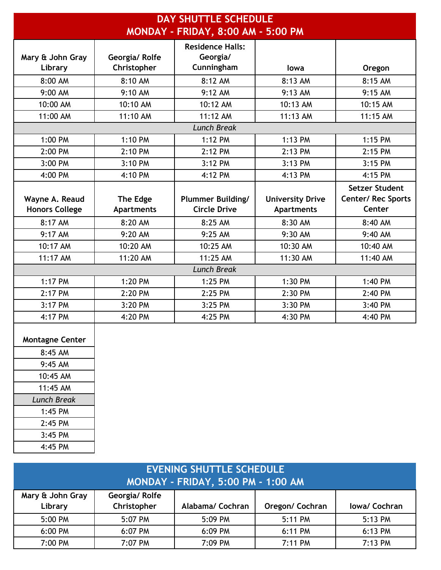| <b>DAY SHUTTLE SCHEDULE</b>        |                   |                          |                         |                       |
|------------------------------------|-------------------|--------------------------|-------------------------|-----------------------|
| MONDAY - FRIDAY, 8:00 AM - 5:00 PM |                   |                          |                         |                       |
|                                    |                   | <b>Residence Halls:</b>  |                         |                       |
| Mary & John Gray                   | Georgia/Rolfe     | Georgia/                 |                         |                       |
| Library                            | Christopher       | Cunningham               | lowa                    | Oregon                |
| 8:00 AM                            | 8:10 AM           | 8:12 AM                  | 8:13 AM                 | 8:15 AM               |
| 9:00 AM                            | 9:10 AM           | 9:12 AM                  | 9:13 AM                 | 9:15 AM               |
| 10:00 AM                           | 10:10 AM          | 10:12 AM                 | 10:13 AM                | 10:15 AM              |
| 11:00 AM                           | 11:10 AM          | 11:12 AM                 | 11:13 AM                | 11:15 AM              |
|                                    |                   | <b>Lunch Break</b>       |                         |                       |
| 1:00 PM                            | 1:10 PM           | 1:12 PM                  | 1:13 PM                 | 1:15 PM               |
| 2:00 PM                            | 2:10 PM           | 2:12 PM                  | 2:13 PM                 | 2:15 PM               |
| 3:00 PM                            | 3:10 PM           | 3:12 PM                  | 3:13 PM                 | 3:15 PM               |
| 4:00 PM                            | 4:10 PM           | 4:12 PM                  | 4:13 PM                 | 4:15 PM               |
|                                    |                   |                          |                         | <b>Setzer Student</b> |
| Wayne A. Reaud                     | The Edge          | <b>Plummer Building/</b> | <b>University Drive</b> | Center/ Rec Sports    |
| <b>Honors College</b>              | <b>Apartments</b> | <b>Circle Drive</b>      | <b>Apartments</b>       | Center                |
| 8:17 AM                            | 8:20 AM           | 8:25 AM                  | 8:30 AM                 | 8:40 AM               |
| 9:17 AM                            | 9:20 AM           | 9:25 AM                  | 9:30 AM                 | 9:40 AM               |
| 10:17 AM                           | 10:20 AM          | 10:25 AM                 | 10:30 AM                | 10:40 AM              |
| 11:17 AM                           | 11:20 AM          | 11:25 AM                 | 11:30 AM                | 11:40 AM              |
|                                    |                   | <b>Lunch Break</b>       |                         |                       |
| 1:17 PM                            | 1:20 PM           | 1:25 PM                  | 1:30 PM                 | 1:40 PM               |
| 2:17 PM                            | 2:20 PM           | 2:25 PM                  | 2:30 PM                 | 2:40 PM               |
| 3:17 PM                            | 3:20 PM           | 3:25 PM                  | 3:30 PM                 | 3:40 PM               |
| 4:17 PM                            | 4:20 PM           | 4:25 PM                  | 4:30 PM                 | 4:40 PM               |
| <b>Montagne Center</b>             |                   |                          |                         |                       |
| 8:45 AM                            |                   |                          |                         |                       |
| 9:45 AM                            |                   |                          |                         |                       |
| 10:45 AM                           |                   |                          |                         |                       |
| 11:45 AM                           |                   |                          |                         |                       |
| <b>Lunch Break</b>                 |                   |                          |                         |                       |
| 1:45 PM                            |                   |                          |                         |                       |
| 2:45 PM                            |                   |                          |                         |                       |
| 3:45 PM                            |                   |                          |                         |                       |

| <b>EVENING SHUTTLE SCHEDULE</b><br><b>MONDAY - FRIDAY, 5:00 PM - 1:00 AM</b> |                              |                  |                 |               |
|------------------------------------------------------------------------------|------------------------------|------------------|-----------------|---------------|
| Mary & John Gray<br>Library                                                  | Georgia/Rolfe<br>Christopher | Alabama/ Cochran | Oregon/ Cochran | Iowa/ Cochran |
| 5:00 PM                                                                      | 5:07 PM                      | 5:09 PM          | 5:11 PM         | 5:13 PM       |
| 6:00 PM                                                                      | 6:07 PM                      | 6:09 PM          | 6:11 PM         | 6:13 PM       |
| 7:00 PM                                                                      | 7:07 PM                      | 7:09 PM          | 7:11 PM         | 7:13 PM       |

4:45 PM